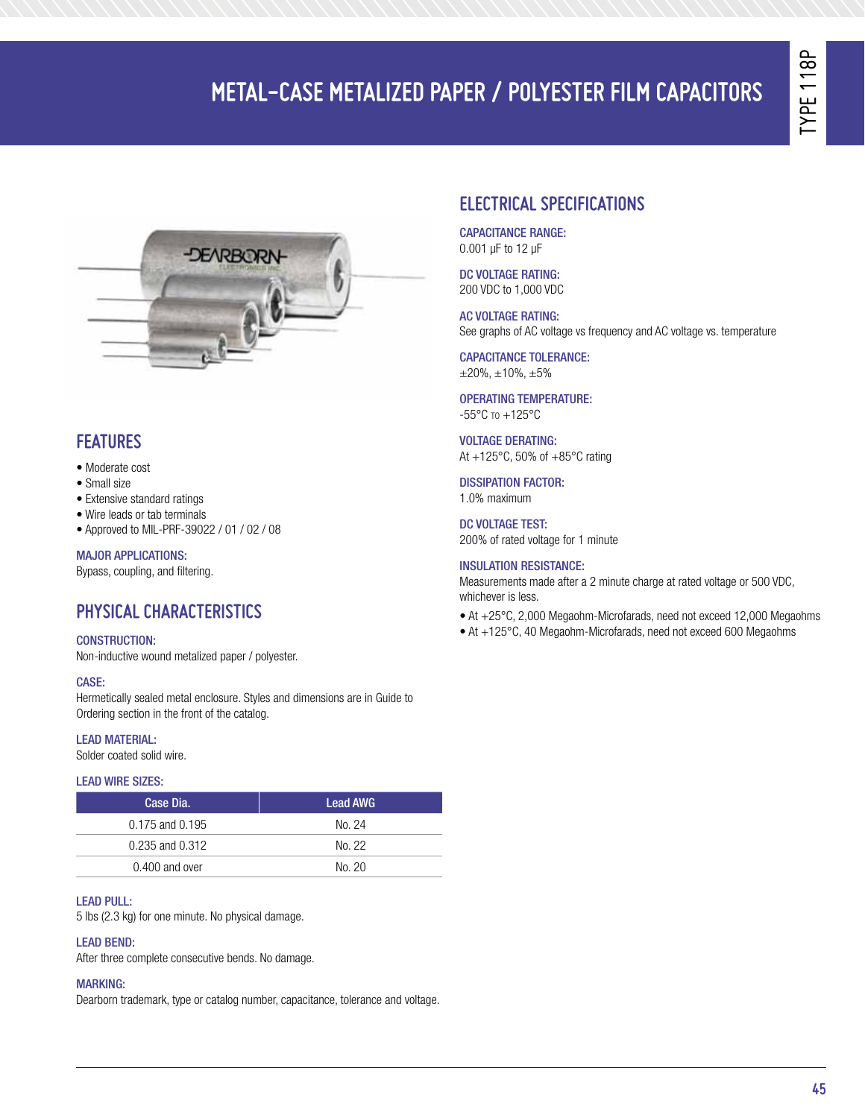# Type 118 P

# **Metal-Case Metalized Paper / Polyester FILM Capacitors**



### **Features**

- Moderate cost
- Small size
- Extensive standard ratings
- Wire leads or tab terminals
- Approved to MIL-PRF-39022 / 01 / 02 / 08

### Major Applications:

Bypass, coupling, and filtering.

### **PHYSICAL CHARACTERISTICS**

### CONSTRUCTION:

Non-inductive wound metalized paper / polyester.

### CASE:

Hermetically sealed metal enclosure. Styles and dimensions are in Guide to Ordering section in the front of the catalog.

### LEAD MATERIAL:

Solder coated solid wire.

### Lead Wire Sizes:

| Case Dia.           | <b>Lead AWG</b> |
|---------------------|-----------------|
| $0.175$ and $0.195$ | No. 24          |
| $0.235$ and $0.312$ | No. 22          |
| $0.400$ and over    | No. 20          |

### Lead Pull:

5 lbs (2.3 kg) for one minute. No physical damage.

### Lead Bend:

After three complete consecutive bends. No damage.

### **MARKING:**

Dearborn trademark, type or catalog number, capacitance, tolerance and voltage.

### **ELECTRICAL SPECIFICATIONS**

Capacitance Range: 0.001 μF to 12 μF

DC VOLTAGE RATING: 200 VDC to 1,000 VDC

AC VOLTAGE RATING: See graphs of AC voltage vs frequency and AC voltage vs. temperature

Capacitance Tolerance:  $\pm 20\%$ ,  $\pm 10\%$ ,  $\pm 5\%$ 

#### Operating Temperature: -55°C to +125°C

**VOLTAGE DERATING:** At +125°C, 50% of +85°C rating

DISSIPATION FACTOR: 1.0% maximum

DC VOLTAGE TEST: 200% of rated voltage for 1 minute

### Insulation Resistance:

Measurements made after a 2 minute charge at rated voltage or 500 VDC, whichever is less.

- At +25°C, 2,000 Megaohm-Microfarads, need not exceed 12,000 Megaohms
- At +125°C, 40 Megaohm-Microfarads, need not exceed 600 Megaohms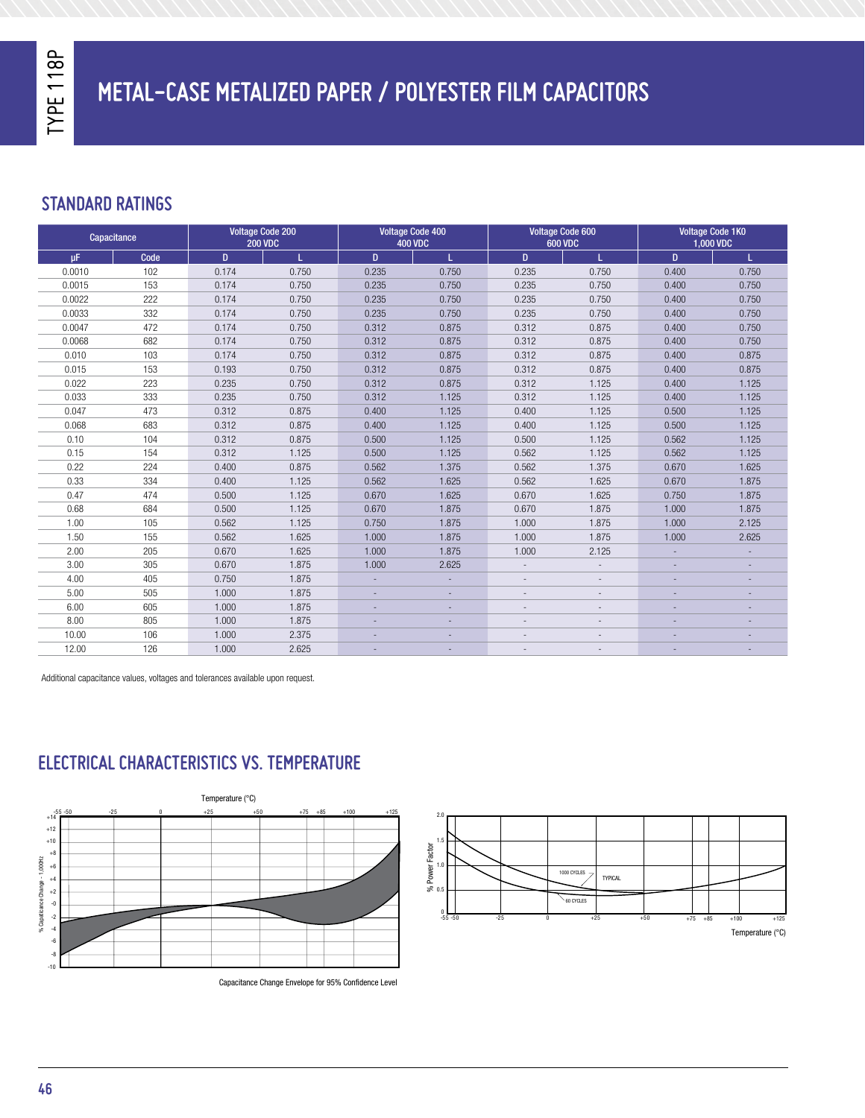### **STANDARD RATINGS**

| Capacitance |      | <b>Voltage Code 200</b><br><b>200 VDC</b> |       | <b>Voltage Code 400</b><br><b>400 VDC</b> |       | <b>Voltage Code 600</b><br><b>600 VDC</b> |                          | <b>Voltage Code 1K0</b><br>1,000 VDC |       |
|-------------|------|-------------------------------------------|-------|-------------------------------------------|-------|-------------------------------------------|--------------------------|--------------------------------------|-------|
| <b>uF</b>   | Code | D.                                        | L.    | D.                                        | T.    | D.                                        | T.                       | D                                    | T.    |
| 0.0010      | 102  | 0.174                                     | 0.750 | 0.235                                     | 0.750 | 0.235                                     | 0.750                    | 0.400                                | 0.750 |
| 0.0015      | 153  | 0.174                                     | 0.750 | 0.235                                     | 0.750 | 0.235                                     | 0.750                    | 0.400                                | 0.750 |
| 0.0022      | 222  | 0.174                                     | 0.750 | 0.235                                     | 0.750 | 0.235                                     | 0.750                    | 0.400                                | 0.750 |
| 0.0033      | 332  | 0.174                                     | 0.750 | 0.235                                     | 0.750 | 0.235                                     | 0.750                    | 0.400                                | 0.750 |
| 0.0047      | 472  | 0.174                                     | 0.750 | 0.312                                     | 0.875 | 0.312                                     | 0.875                    | 0.400                                | 0.750 |
| 0.0068      | 682  | 0.174                                     | 0.750 | 0.312                                     | 0.875 | 0.312                                     | 0.875                    | 0.400                                | 0.750 |
| 0.010       | 103  | 0.174                                     | 0.750 | 0.312                                     | 0.875 | 0.312                                     | 0.875                    | 0.400                                | 0.875 |
| 0.015       | 153  | 0.193                                     | 0.750 | 0.312                                     | 0.875 | 0.312                                     | 0.875                    | 0.400                                | 0.875 |
| 0.022       | 223  | 0.235                                     | 0.750 | 0.312                                     | 0.875 | 0.312                                     | 1.125                    | 0.400                                | 1.125 |
| 0.033       | 333  | 0.235                                     | 0.750 | 0.312                                     | 1.125 | 0.312                                     | 1.125                    | 0.400                                | 1.125 |
| 0.047       | 473  | 0.312                                     | 0.875 | 0.400                                     | 1.125 | 0.400                                     | 1.125                    | 0.500                                | 1.125 |
| 0.068       | 683  | 0.312                                     | 0.875 | 0.400                                     | 1.125 | 0.400                                     | 1.125                    | 0.500                                | 1.125 |
| 0.10        | 104  | 0.312                                     | 0.875 | 0.500                                     | 1.125 | 0.500                                     | 1.125                    | 0.562                                | 1.125 |
| 0.15        | 154  | 0.312                                     | 1.125 | 0.500                                     | 1.125 | 0.562                                     | 1.125                    | 0.562                                | 1.125 |
| 0.22        | 224  | 0.400                                     | 0.875 | 0.562                                     | 1.375 | 0.562                                     | 1.375                    | 0.670                                | 1.625 |
| 0.33        | 334  | 0.400                                     | 1.125 | 0.562                                     | 1.625 | 0.562                                     | 1.625                    | 0.670                                | 1.875 |
| 0.47        | 474  | 0.500                                     | 1.125 | 0.670                                     | 1.625 | 0.670                                     | 1.625                    | 0.750                                | 1.875 |
| 0.68        | 684  | 0.500                                     | 1.125 | 0.670                                     | 1.875 | 0.670                                     | 1.875                    | 1.000                                | 1.875 |
| 1.00        | 105  | 0.562                                     | 1.125 | 0.750                                     | 1.875 | 1.000                                     | 1.875                    | 1.000                                | 2.125 |
| 1.50        | 155  | 0.562                                     | 1.625 | 1.000                                     | 1.875 | 1.000                                     | 1.875                    | 1.000                                | 2.625 |
| 2.00        | 205  | 0.670                                     | 1.625 | 1.000                                     | 1.875 | 1.000                                     | 2.125                    |                                      |       |
| 3.00        | 305  | 0.670                                     | 1.875 | 1.000                                     | 2.625 |                                           | $\overline{\phantom{a}}$ |                                      |       |
| 4.00        | 405  | 0.750                                     | 1.875 |                                           |       |                                           |                          |                                      |       |
| 5.00        | 505  | 1.000                                     | 1.875 |                                           |       |                                           |                          |                                      |       |
| 6.00        | 605  | 1.000                                     | 1.875 |                                           |       |                                           |                          |                                      |       |
| 8.00        | 805  | 1.000                                     | 1.875 |                                           |       |                                           |                          |                                      |       |
| 10.00       | 106  | 1.000                                     | 2.375 |                                           |       |                                           |                          |                                      |       |
| 12.00       | 126  | 1.000                                     | 2.625 |                                           |       |                                           |                          |                                      |       |

Additional capacitance values, voltages and tolerances available upon request.

### **ELECTRICAL CHARACTERISTICS VS. TEMPERATURE**



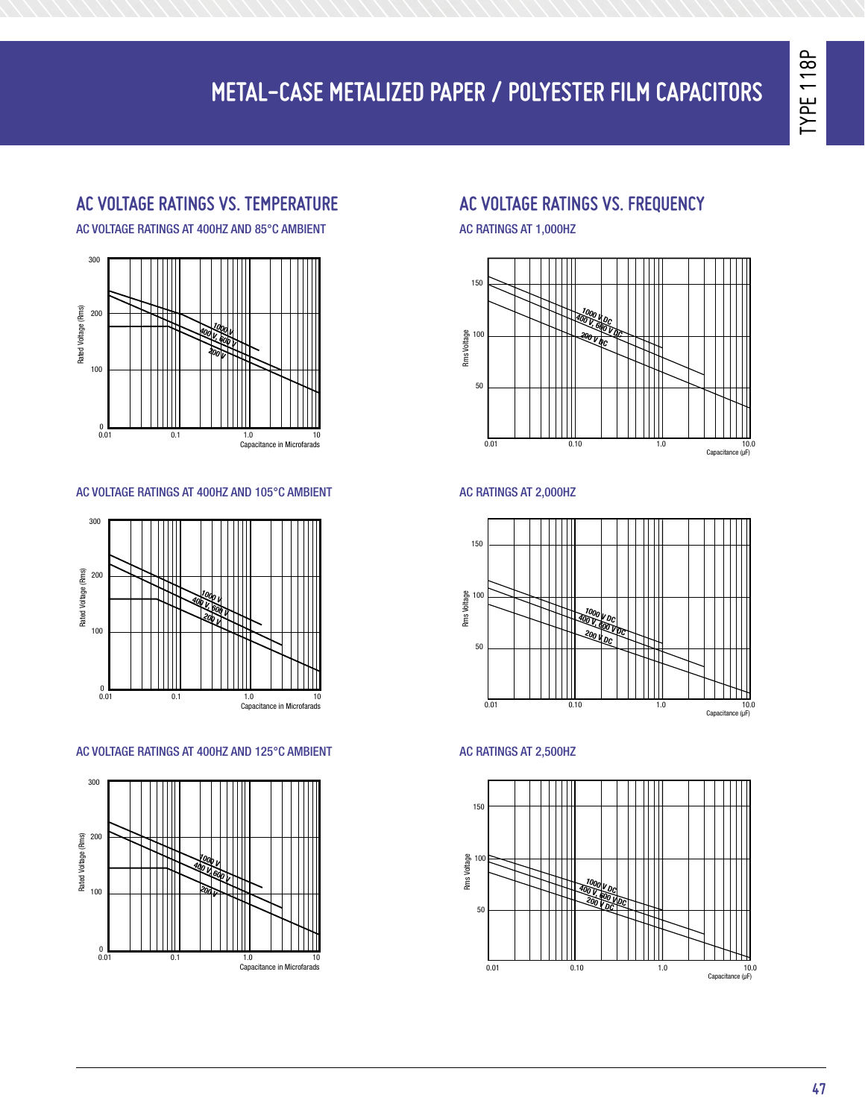## **Metal-Case Metalized Paper / Polyester FILM Capacitors** 200 300 300 Rated Voltage (Rms) Rated Voltage (Rms)

#### <mark>AC VOLTAGE RATINGS VS. TEMPERATUR</mark> 100

200

Rated Voltage (Rms)

AC VOLTAGE RATINGS AT 400HZ AND 85°C AMBIENT  $AC$ 

Rated Voltage (Rms)



#### AC VOLTAGE RATINGS AT 400HZ AND 105°C AMBIE AC VOI AMBIENT **AC RA**



#### AC VOLTAGE RATINGS AT 400HZ AND 125°C AMBIE A-C VOLTAGE RATINGS AT 400 HERTZ AND 85 C AMBIENT A-C VOLTAGE RATINGS AT 400 HERTZ AND 105 C AMBIENT



#### **AC VOLTAGE RATINGS VS. frequency** 0 A-C VOLTAGE RATINGS AT 400 HERTZ AND 125 C AMBIENT  $\overline{1}$

**200 <sup>V</sup>**

Rated Voltage (Rms)

AC RATINGS AT 1,000HZ



### AC RATINGS AT 2,000HZ



### **CAPACITATION AC RATINGS AT 2,500HZ**

**400 V, 600 V DC**

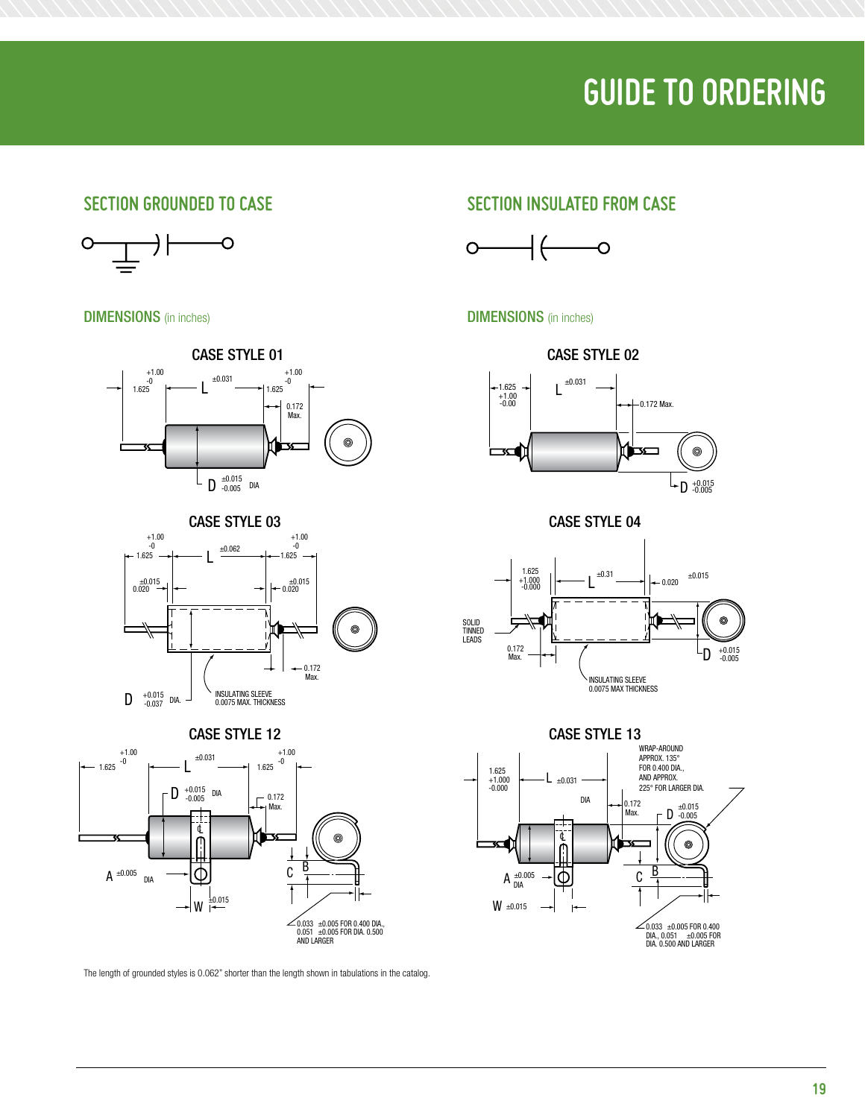# **Guide to Ordering**

### SECTION GROUNDED T



**DIMENSIONS** (in inches)





### CASE STYLE 12



The length of grounded styles is  $0.062"$  shorter than the length shown in tabulations in the catalog.  $\log$ .

### SECTION GROUNDED TO CASE SECTION INSULATED FROM CASE



### **DIMENSIONS** (in inches) DIMENSIONS IN INCHES



CASE STYLE 04



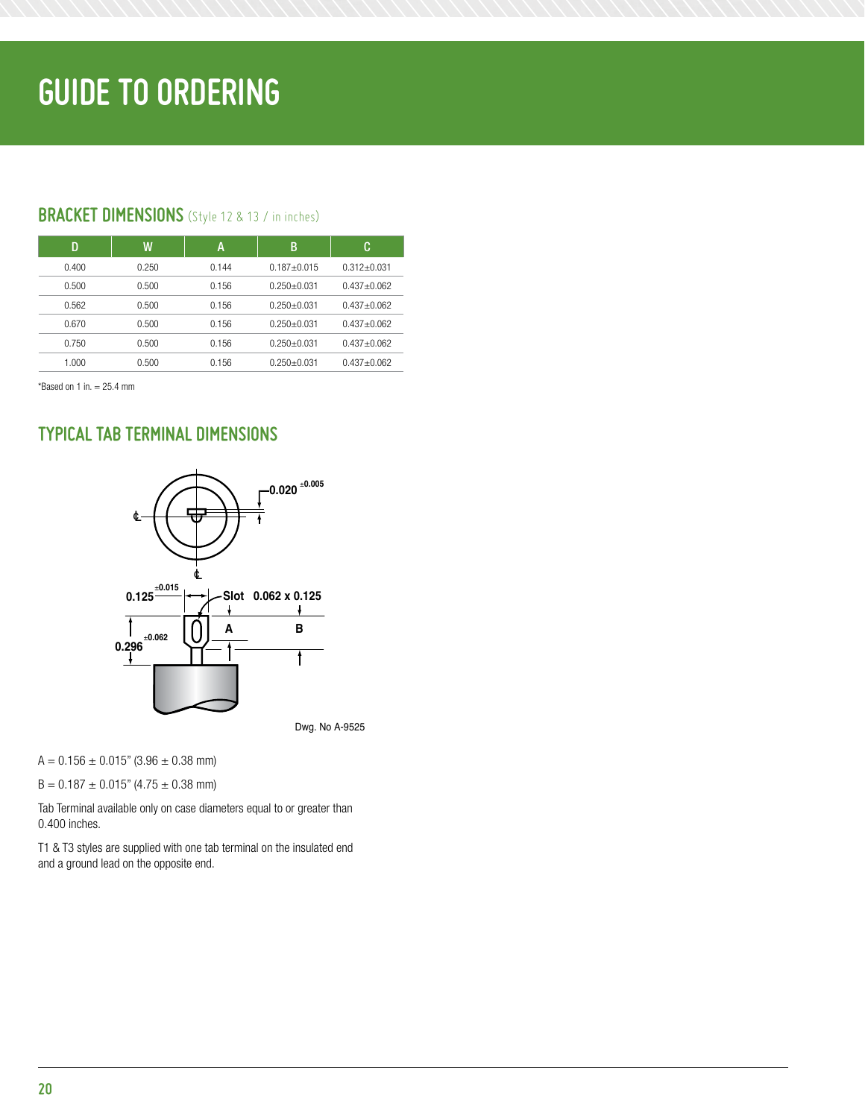### **BRACKET DIMENSIONS** (Style 12 & 13 / in inches)

| D     | W     | A     | В               | C               |
|-------|-------|-------|-----------------|-----------------|
| 0.400 | 0.250 | 0.144 | $0.187 + 0.015$ | $0.312 + 0.031$ |
| 0.500 | 0.500 | 0.156 | $0.250 + 0.031$ | $0.437 + 0.062$ |
| 0.562 | 0.500 | 0.156 | $0.250 + 0.031$ | $0.437 + 0.062$ |
| 0.670 | 0.500 | 0.156 | $0.250 + 0.031$ | $0.437 + 0.062$ |
| 0.750 | 0.500 | 0.156 | $0.250 + 0.031$ | $0.437 + 0.062$ |
| 1.000 | 0.500 | 0.156 | $0.250 + 0.031$ | $0.437 + 0.062$ |

 $*$ Based on 1 in.  $= 25.4$  mm  $T_{\text{N}} = 20.7$  The Terminal Dimensions of  $T_{\text{N}} = 20.7$ 

### **TYPICAL TAB TERMINAL DIMENSIONS**



Dwg. No A-9525

 $A = 0.156 \pm 0.015"$  (3.96  $\pm$  0.38 mm)

 $B = 0.187 \pm 0.015$ " (4.75  $\pm$  0.38 mm)

Tab Terminal available only on case diameters equal to or greater than 0.400 inches.

T1 & T3 styles are supplied with one tab terminal on the insulated end and a ground lead on the opposite end.